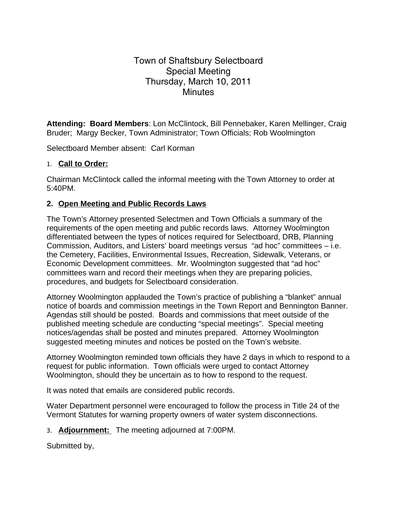## Town of Shaftsbury Selectboard Special Meeting Thursday, March 10, 2011 **Minutes**

**Attending: Board Members**: Lon McClintock, Bill Pennebaker, Karen Mellinger, Craig Bruder; Margy Becker, Town Administrator; Town Officials; Rob Woolmington

Selectboard Member absent: Carl Korman

## 1. **Call to Order:**

Chairman McClintock called the informal meeting with the Town Attorney to order at 5:40PM.

## **2. Open Meeting and Public Records Laws**

The Town's Attorney presented Selectmen and Town Officials a summary of the requirements of the open meeting and public records laws. Attorney Woolmington differentiated between the types of notices required for Selectboard, DRB, Planning Commission, Auditors, and Listers' board meetings versus "ad hoc" committees – i.e. the Cemetery, Facilities, Environmental Issues, Recreation, Sidewalk, Veterans, or Economic Development committees. Mr. Woolmington suggested that "ad hoc" committees warn and record their meetings when they are preparing policies, procedures, and budgets for Selectboard consideration.

Attorney Woolmington applauded the Town's practice of publishing a "blanket" annual notice of boards and commission meetings in the Town Report and Bennington Banner. Agendas still should be posted. Boards and commissions that meet outside of the published meeting schedule are conducting "special meetings". Special meeting notices/agendas shall be posted and minutes prepared. Attorney Woolmington suggested meeting minutes and notices be posted on the Town's website.

Attorney Woolmington reminded town officials they have 2 days in which to respond to a request for public information. Town officials were urged to contact Attorney Woolmington, should they be uncertain as to how to respond to the request.

It was noted that emails are considered public records.

Water Department personnel were encouraged to follow the process in Title 24 of the Vermont Statutes for warning property owners of water system disconnections.

3. **Adjournment:** The meeting adjourned at 7:00PM.

Submitted by,